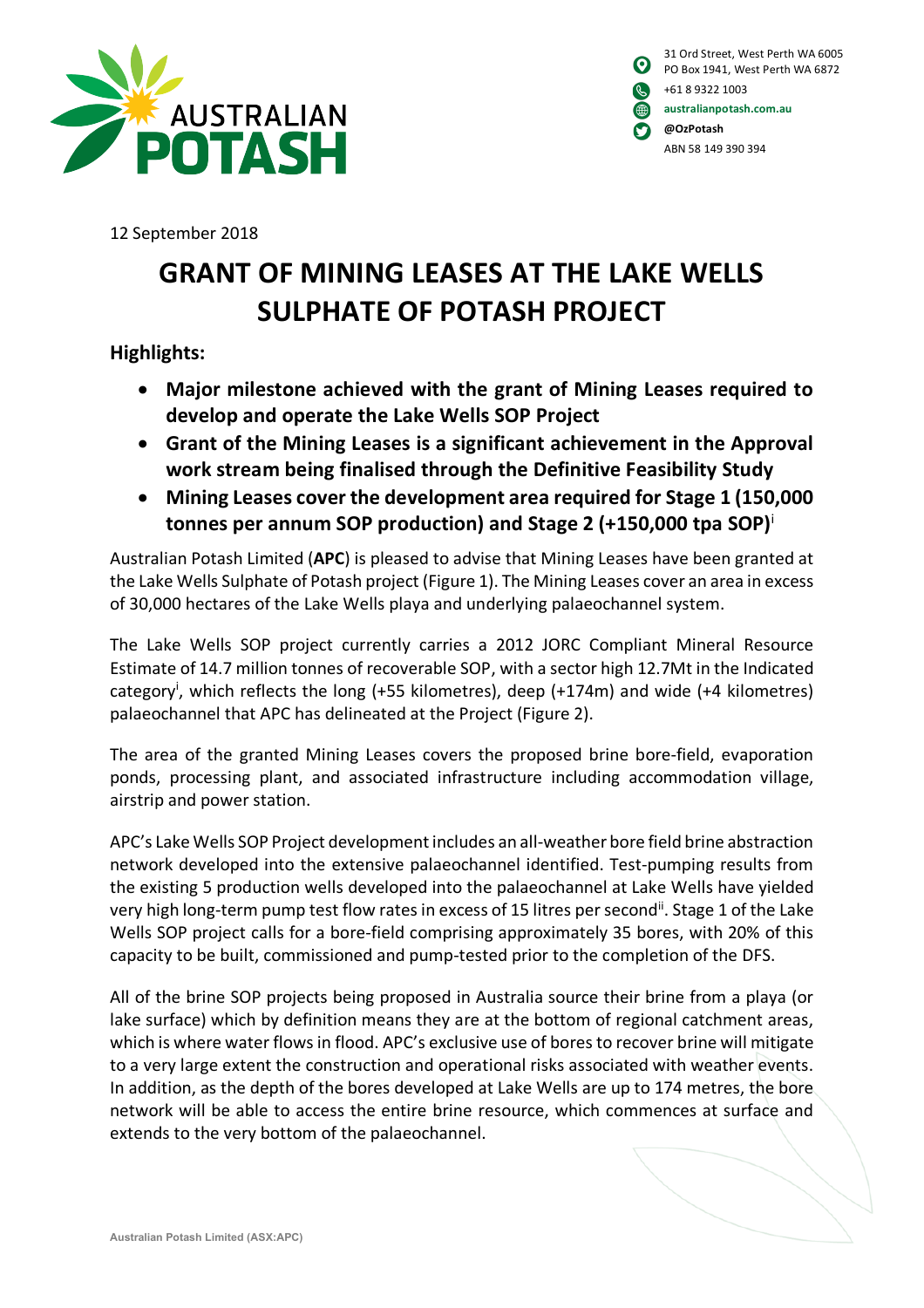

| $\boldsymbol{\Omega}$ | 31 Ord Street, West Perth WA 6005<br>PO Box 1941, West Perth WA 6872 |
|-----------------------|----------------------------------------------------------------------|
| $\blacksquare$        | +61 8 9322 1003                                                      |
| ′∰                    | australianpotash.com.au                                              |
| $\mathbf{c}_J$        | @OzPotash                                                            |
|                       | ARN 58 149 390 394                                                   |

12 September 2018

## **GRANT OF MINING LEASES AT THE LAKE WELLS SULPHATE OF POTASH PROJECT**

**Highlights:**

- **Major milestone achieved with the grant of Mining Leases required to develop and operate the Lake Wells SOP Project**
- **Grant of the Mining Leases is a significant achievement in the Approval work stream being finalised through the Definitive Feasibility Study**
- **Mining Leases cover the development area required for Stage 1 (150,000 tonnes per annum SOP production) and Stage 2 (+150,000 tpa SOP)**<sup>i</sup>

Australian Potash Limited (**APC**) is pleased to advise that Mining Leases have been granted at the Lake Wells Sulphate of Potash project (Figure 1). The Mining Leases cover an area in excess of 30,000 hectares of the Lake Wells playa and underlying palaeochannel system.

The Lake Wells SOP project currently carries a 2012 JORC Compliant Mineral Resource Estimate of 14.7 million tonnes of recoverable SOP, with a sector high 12.7Mt in the Indicated category<sup>i</sup>, which reflects the long (+55 kilometres), deep (+174m) and wide (+4 kilometres) palaeochannel that APC has delineated at the Project (Figure 2).

The area of the granted Mining Leases covers the proposed brine bore-field, evaporation ponds, processing plant, and associated infrastructure including accommodation village, airstrip and power station.

APC's Lake Wells SOP Project developmentincludes an all-weather bore field brine abstraction network developed into the extensive palaeochannel identified. Test-pumping results from the existing 5 production wells developed into the palaeochannel at Lake Wells have yielded very high long-term pump test flow rates in excess of 15 litres per second<sup>ii</sup>. Stage 1 of the Lake Wells SOP project calls for a bore-field comprising approximately 35 bores, with 20% of this capacity to be built, commissioned and pump-tested prior to the completion of the DFS.

All of the brine SOP projects being proposed in Australia source their brine from a playa (or lake surface) which by definition means they are at the bottom of regional catchment areas, which is where water flows in flood. APC's exclusive use of bores to recover brine will mitigate to a very large extent the construction and operational risks associated with weather events. In addition, as the depth of the bores developed at Lake Wells are up to 174 metres, the bore network will be able to access the entire brine resource, which commences at surface and extends to the very bottom of the palaeochannel.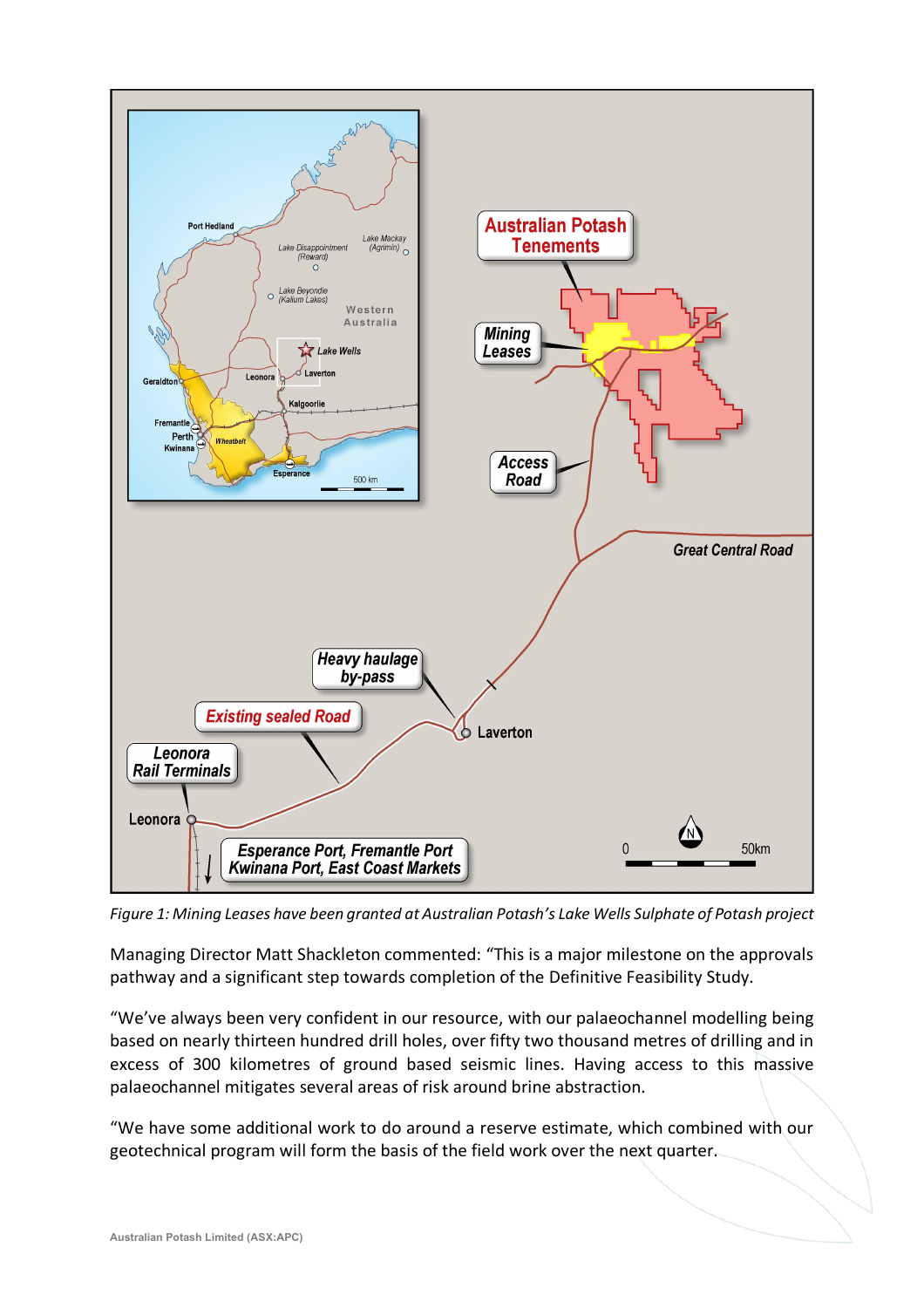

*Figure 1: Mining Leases have been granted at Australian Potash's Lake Wells Sulphate of Potash project*

Managing Director Matt Shackleton commented: "This is a major milestone on the approvals pathway and a significant step towards completion of the Definitive Feasibility Study.

"We've always been very confident in our resource, with our palaeochannel modelling being based on nearly thirteen hundred drill holes, over fifty two thousand metres of drilling and in excess of 300 kilometres of ground based seismic lines. Having access to this massive palaeochannel mitigates several areas of risk around brine abstraction.

"We have some additional work to do around a reserve estimate, which combined with our geotechnical program will form the basis of the field work over the next quarter.